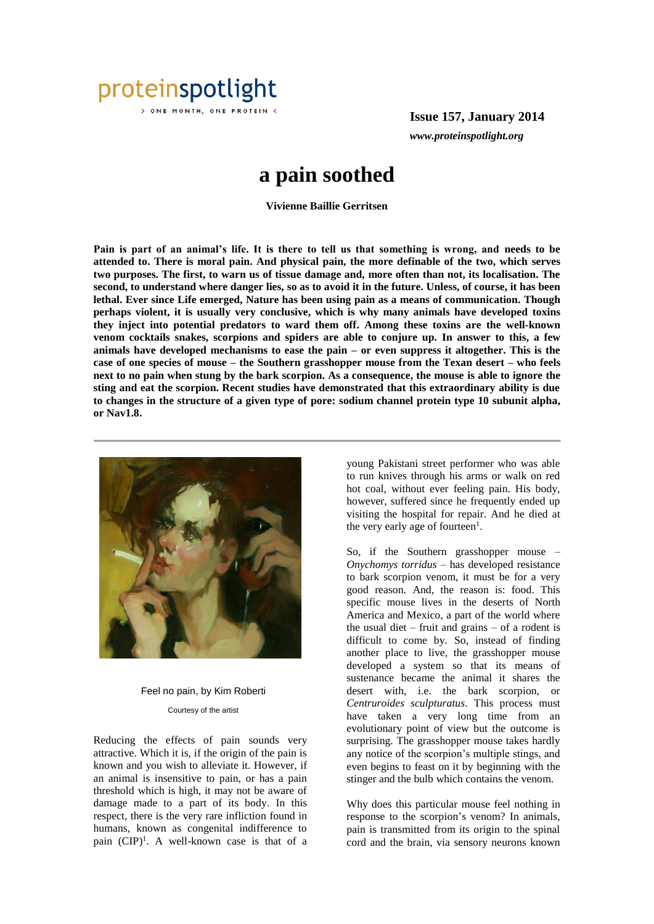

) ONE MONTH, ONE PROTEIN <

**Issue 157, January 2014** *www.proteinspotlight.org*

# **a pain soothed**

**Vivienne Baillie Gerritsen**

**Pain is part of an animal's life. It is there to tell us that something is wrong, and needs to be attended to. There is moral pain. And physical pain, the more definable of the two, which serves two purposes. The first, to warn us of tissue damage and, more often than not, its localisation. The second, to understand where danger lies, so as to avoid it in the future. Unless, of course, it has been lethal. Ever since Life emerged, Nature has been using pain as a means of communication. Though perhaps violent, it is usually very conclusive, which is why many animals have developed toxins they inject into potential predators to ward them off. Among these toxins are the well-known venom cocktails snakes, scorpions and spiders are able to conjure up. In answer to this, a few animals have developed mechanisms to ease the pain – or even suppress it altogether. This is the case of one species of mouse – the Southern grasshopper mouse from the Texan desert – who feels next to no pain when stung by the bark scorpion. As a consequence, the mouse is able to ignore the sting and eat the scorpion. Recent studies have demonstrated that this extraordinary ability is due to changes in the structure of a given type of pore: sodium channel protein type 10 subunit alpha, or Nav1.8.** 



#### Feel no pain, by Kim Roberti

#### Courtesy of the artist

Reducing the effects of pain sounds very attractive. Which it is, if the origin of the pain is known and you wish to alleviate it. However, if an animal is insensitive to pain, or has a pain threshold which is high, it may not be aware of damage made to a part of its body. In this respect, there is the very rare infliction found in humans, known as congenital indifference to pain (CIP)<sup>1</sup>. A well-known case is that of a young Pakistani street performer who was able to run knives through his arms or walk on red hot coal, without ever feeling pain. His body, however, suffered since he frequently ended up visiting the hospital for repair. And he died at the very early age of fourteen<sup>1</sup>.

So, if the Southern grasshopper mouse – *Onychomys torridus* – has developed resistance to bark scorpion venom, it must be for a very good reason. And, the reason is: food. This specific mouse lives in the deserts of North America and Mexico, a part of the world where the usual diet – fruit and grains – of a rodent is difficult to come by. So, instead of finding another place to live, the grasshopper mouse developed a system so that its means of sustenance became the animal it shares the desert with, i.e. the bark scorpion, or *Centruroides sculpturatus*. This process must have taken a very long time from an evolutionary point of view but the outcome is surprising. The grasshopper mouse takes hardly any notice of the scorpion's multiple stings, and even begins to feast on it by beginning with the stinger and the bulb which contains the venom.

Why does this particular mouse feel nothing in response to the scorpion's venom? In animals, pain is transmitted from its origin to the spinal cord and the brain, via sensory neurons known